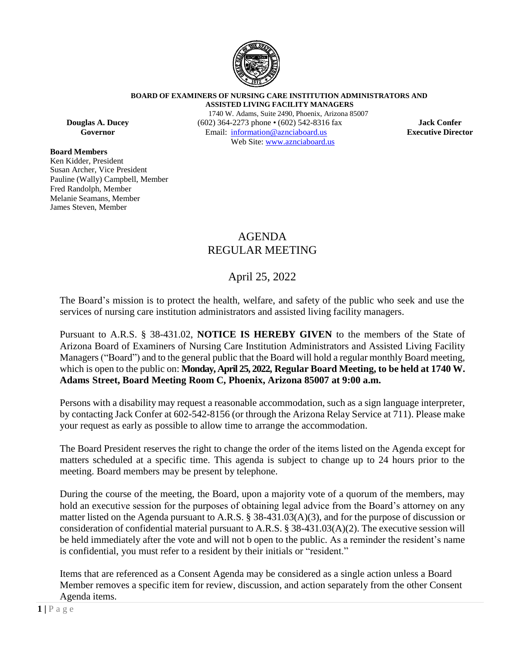

**BOARD OF EXAMINERS OF NURSING CARE INSTITUTION ADMINISTRATORS AND ASSISTED LIVING FACILITY MANAGERS**

**Board Members**

Ken Kidder, President Susan Archer, Vice President Pauline (Wally) Campbell, Member Fred Randolph, Member Melanie Seamans, Member James Steven, Member

1740 W. Adams, Suite 2490, Phoenix, Arizona 85007 **Douglas A. Ducey** (602) 364-2273 phone • (602) 542-8316 fax **Jack Confer**<br> **Governor** Email: information@aznciaboard.us **Executive Director Governor Email:**  $\frac{1}{2}$  **Email:**  $\frac{1}{2}$  **Email:**  $\frac{1}{2}$  **Director Director** Web Site: [www.aznciaboard.us](http://www.aznciaboard.us/)

# AGENDA REGULAR MEETING

# April 25, 2022

The Board's mission is to protect the health, welfare, and safety of the public who seek and use the services of nursing care institution administrators and assisted living facility managers.

Pursuant to A.R.S. § 38-431.02, **NOTICE IS HEREBY GIVEN** to the members of the State of Arizona Board of Examiners of Nursing Care Institution Administrators and Assisted Living Facility Managers ("Board") and to the general public that the Board will hold a regular monthly Board meeting, which is open to the public on: **Monday, April 25, 2022, Regular Board Meeting, to be held at 1740 W. Adams Street, Board Meeting Room C, Phoenix, Arizona 85007 at 9:00 a.m.**

Persons with a disability may request a reasonable accommodation, such as a sign language interpreter, by contacting Jack Confer at 602-542-8156 (or through the Arizona Relay Service at 711). Please make your request as early as possible to allow time to arrange the accommodation.

The Board President reserves the right to change the order of the items listed on the Agenda except for matters scheduled at a specific time. This agenda is subject to change up to 24 hours prior to the meeting. Board members may be present by telephone.

During the course of the meeting, the Board, upon a majority vote of a quorum of the members, may hold an executive session for the purposes of obtaining legal advice from the Board's attorney on any matter listed on the Agenda pursuant to A.R.S. § 38-431.03(A)(3), and for the purpose of discussion or consideration of confidential material pursuant to A.R.S. § 38-431.03(A)(2). The executive session will be held immediately after the vote and will not b open to the public. As a reminder the resident's name is confidential, you must refer to a resident by their initials or "resident."

Items that are referenced as a Consent Agenda may be considered as a single action unless a Board Member removes a specific item for review, discussion, and action separately from the other Consent Agenda items.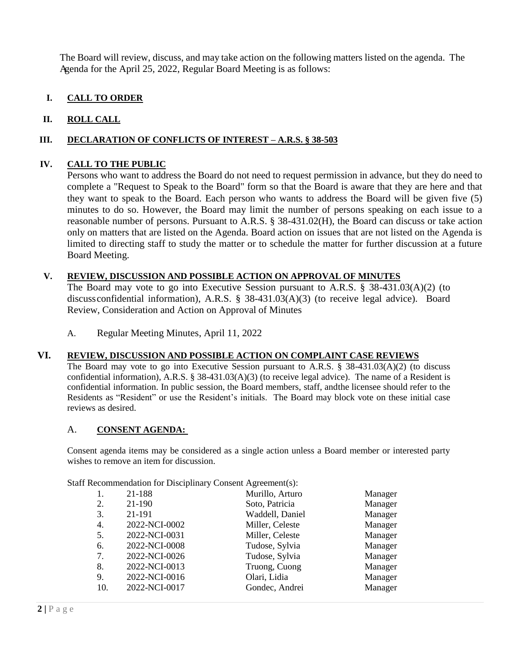The Board will review, discuss, and may take action on the following matters listed on the agenda. The Agenda for the April 25, 2022, Regular Board Meeting is as follows:

# **I. CALL TO ORDER**

## **II. ROLL CALL**

### **III. DECLARATION OF CONFLICTS OF INTEREST – A.R.S. § 38-503**

### **IV. CALL TO THE PUBLIC**

Persons who want to address the Board do not need to request permission in advance, but they do need to complete a "Request to Speak to the Board" form so that the Board is aware that they are here and that they want to speak to the Board. Each person who wants to address the Board will be given five (5) minutes to do so. However, the Board may limit the number of persons speaking on each issue to a reasonable number of persons. Pursuant to A.R.S. § 38-431.02(H), the Board can discuss or take action only on matters that are listed on the Agenda. Board action on issues that are not listed on the Agenda is limited to directing staff to study the matter or to schedule the matter for further discussion at a future Board Meeting.

## **V. REVIEW, DISCUSSION AND POSSIBLE ACTION ON APPROVAL OF MINUTES**

The Board may vote to go into Executive Session pursuant to A.R.S. § 38-431.03(A)(2) (to discussconfidential information), A.R.S. § 38-431.03(A)(3) (to receive legal advice). Board Review, Consideration and Action on Approval of Minutes

A. Regular Meeting Minutes, April 11, 2022

#### **VI. REVIEW, DISCUSSION AND POSSIBLE ACTION ON COMPLAINT CASE REVIEWS**

The Board may vote to go into Executive Session pursuant to A.R.S. § 38-431.03(A)(2) (to discuss confidential information), A.R.S. § 38-431.03(A)(3) (to receive legal advice). The name of a Resident is confidential information. In public session, the Board members, staff, andthe licensee should refer to the Residents as "Resident" or use the Resident's initials. The Board may block vote on these initial case reviews as desired.

#### A. **CONSENT AGENDA:**

Consent agenda items may be considered as a single action unless a Board member or interested party wishes to remove an item for discussion.

Staff Recommendation for Disciplinary Consent Agreement(s):

| 1.  | 21-188        | Murillo, Arturo | Manager |
|-----|---------------|-----------------|---------|
| 2.  | 21-190        | Soto, Patricia  | Manager |
| 3.  | 21-191        | Waddell, Daniel | Manager |
| 4.  | 2022-NCI-0002 | Miller, Celeste | Manager |
| 5.  | 2022-NCI-0031 | Miller, Celeste | Manager |
| 6.  | 2022-NCI-0008 | Tudose, Sylvia  | Manager |
| 7.  | 2022-NCI-0026 | Tudose, Sylvia  | Manager |
| 8.  | 2022-NCI-0013 | Truong, Cuong   | Manager |
| 9.  | 2022-NCI-0016 | Olari, Lidia    | Manager |
| 10. | 2022-NCI-0017 | Gondec, Andrei  | Manager |
|     |               |                 |         |